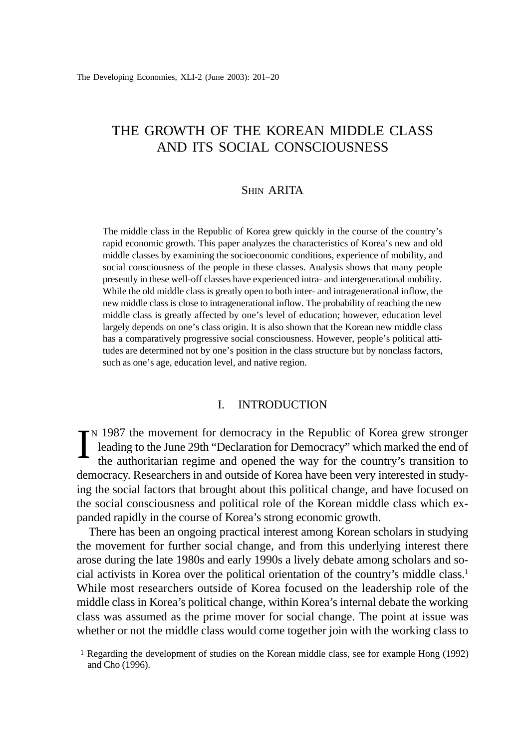# THE GROWTH OF THE KOREAN MIDDLE CLASS AND ITS SOCIAL CONSCIOUSNESS

## SHIN ARITA

The middle class in the Republic of Korea grew quickly in the course of the country's rapid economic growth. This paper analyzes the characteristics of Korea's new and old middle classes by examining the socioeconomic conditions, experience of mobility, and social consciousness of the people in these classes. Analysis shows that many people presently in these well-off classes have experienced intra- and intergenerational mobility. While the old middle class is greatly open to both inter- and intragenerational inflow, the new middle class is close to intragenerational inflow. The probability of reaching the new middle class is greatly affected by one's level of education; however, education level largely depends on one's class origin. It is also shown that the Korean new middle class has a comparatively progressive social consciousness. However, people's political attitudes are determined not by one's position in the class structure but by nonclass factors, such as one's age, education level, and native region.

#### I. INTRODUCTION

IN 1987 the movement for democracy in the Republic of Korea grew stronger<br>leading to the June 29th "Declaration for Democracy" which marked the end of<br>the authoritarian regime and opened the way for the country's transitio leading to the June 29th "Declaration for Democracy" which marked the end of the authoritarian regime and opened the way for the country's transition to democracy. Researchers in and outside of Korea have been very interested in studying the social factors that brought about this political change, and have focused on the social consciousness and political role of the Korean middle class which expanded rapidly in the course of Korea's strong economic growth.

There has been an ongoing practical interest among Korean scholars in studying the movement for further social change, and from this underlying interest there arose during the late 1980s and early 1990s a lively debate among scholars and social activists in Korea over the political orientation of the country's middle class.1 While most researchers outside of Korea focused on the leadership role of the middle class in Korea's political change, within Korea's internal debate the working class was assumed as the prime mover for social change. The point at issue was whether or not the middle class would come together join with the working class to

<sup>01</sup> Regarding the development of studies on the Korean middle class, see for example Hong (1992) and Cho (1996).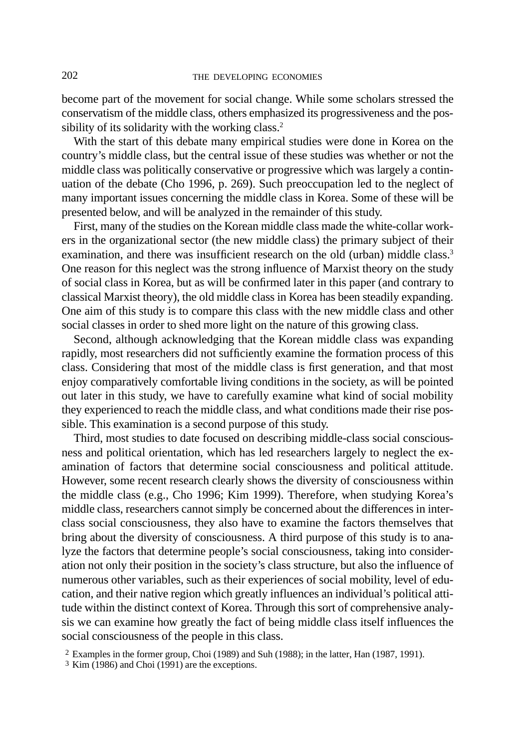become part of the movement for social change. While some scholars stressed the conservatism of the middle class, others emphasized its progressiveness and the possibility of its solidarity with the working class.<sup>2</sup>

With the start of this debate many empirical studies were done in Korea on the country's middle class, but the central issue of these studies was whether or not the middle class was politically conservative or progressive which was largely a continuation of the debate (Cho 1996, p. 269). Such preoccupation led to the neglect of many important issues concerning the middle class in Korea. Some of these will be presented below, and will be analyzed in the remainder of this study.

First, many of the studies on the Korean middle class made the white-collar workers in the organizational sector (the new middle class) the primary subject of their examination, and there was insufficient research on the old (urban) middle class.<sup>3</sup> One reason for this neglect was the strong influence of Marxist theory on the study of social class in Korea, but as will be confirmed later in this paper (and contrary to classical Marxist theory), the old middle class in Korea has been steadily expanding. One aim of this study is to compare this class with the new middle class and other social classes in order to shed more light on the nature of this growing class.

Second, although acknowledging that the Korean middle class was expanding rapidly, most researchers did not sufficiently examine the formation process of this class. Considering that most of the middle class is first generation, and that most enjoy comparatively comfortable living conditions in the society, as will be pointed out later in this study, we have to carefully examine what kind of social mobility they experienced to reach the middle class, and what conditions made their rise possible. This examination is a second purpose of this study.

Third, most studies to date focused on describing middle-class social consciousness and political orientation, which has led researchers largely to neglect the examination of factors that determine social consciousness and political attitude. However, some recent research clearly shows the diversity of consciousness within the middle class (e.g., Cho 1996; Kim 1999). Therefore, when studying Korea's middle class, researchers cannot simply be concerned about the differences in interclass social consciousness, they also have to examine the factors themselves that bring about the diversity of consciousness. A third purpose of this study is to analyze the factors that determine people's social consciousness, taking into consideration not only their position in the society's class structure, but also the influence of numerous other variables, such as their experiences of social mobility, level of education, and their native region which greatly influences an individual's political attitude within the distinct context of Korea. Through this sort of comprehensive analysis we can examine how greatly the fact of being middle class itself influences the social consciousness of the people in this class.

<sup>02</sup> Examples in the former group, Choi (1989) and Suh (1988); in the latter, Han (1987, 1991).

<sup>&</sup>lt;sup>3</sup> Kim (1986) and Choi (1991) are the exceptions.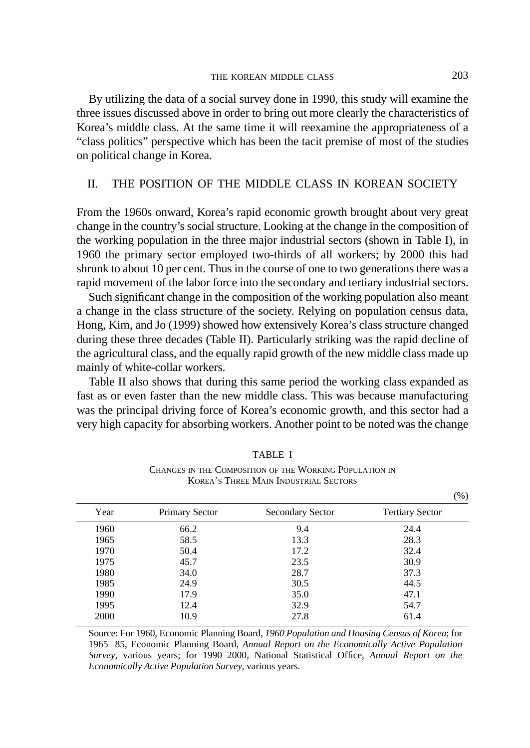By utilizing the data of a social survey done in 1990, this study will examine the three issues discussed above in order to bring out more clearly the characteristics of Korea's middle class. At the same time it will reexamine the appropriateness of a "class politics" perspective which has been the tacit premise of most of the studies on political change in Korea.

## II. THE POSITION OF THE MIDDLE CLASS IN KOREAN SOCIETY

From the 1960s onward, Korea's rapid economic growth brought about very great change in the country's social structure. Looking at the change in the composition of the working population in the three major industrial sectors (shown in Table I), in 1960 the primary sector employed two-thirds of all workers; by 2000 this had shrunk to about 10 per cent. Thus in the course of one to two generations there was a rapid movement of the labor force into the secondary and tertiary industrial sectors.

Such significant change in the composition of the working population also meant a change in the class structure of the society. Relying on population census data, Hong, Kim, and Jo (1999) showed how extensively Korea's class structure changed during these three decades (Table II). Particularly striking was the rapid decline of the agricultural class, and the equally rapid growth of the new middle class made up mainly of white-collar workers.

Table II also shows that during this same period the working class expanded as fast as or even faster than the new middle class. This was because manufacturing was the principal driving force of Korea's economic growth, and this sector had a very high capacity for absorbing workers. Another point to be noted was the change

|      |                |                  | $\cdots$               |
|------|----------------|------------------|------------------------|
| Year | Primary Sector | Secondary Sector | <b>Tertiary Sector</b> |
| 1960 | 66.2           | 9.4              | 24.4                   |
| 1965 | 58.5           | 13.3             | 28.3                   |
| 1970 | 50.4           | 17.2             | 32.4                   |
| 1975 | 45.7           | 23.5             | 30.9                   |
| 1980 | 34.0           | 28.7             | 37.3                   |
| 1985 | 24.9           | 30.5             | 44.5                   |
| 1990 | 17.9           | 35.0             | 47.1                   |
| 1995 | 12.4           | 32.9             | 54.7                   |
| 2000 | 10.9           | 27.8             | 61.4                   |
|      |                |                  |                        |

TABLE I

| Changes in the Composition of the Working Population in |  |
|---------------------------------------------------------|--|
| KOREA'S THREE MAIN INDUSTRIAL SECTORS                   |  |

Source: For 1960, Economic Planning Board, *1960 Population and Housing Census of Korea*; for 1965–85, Economic Planning Board, *Annual Report on the Economically Active Population Survey*, various years; for 1990–2000, National Statistical Office, *Annual Report on the Economically Active Population Survey*, various years.

 $(0/2)$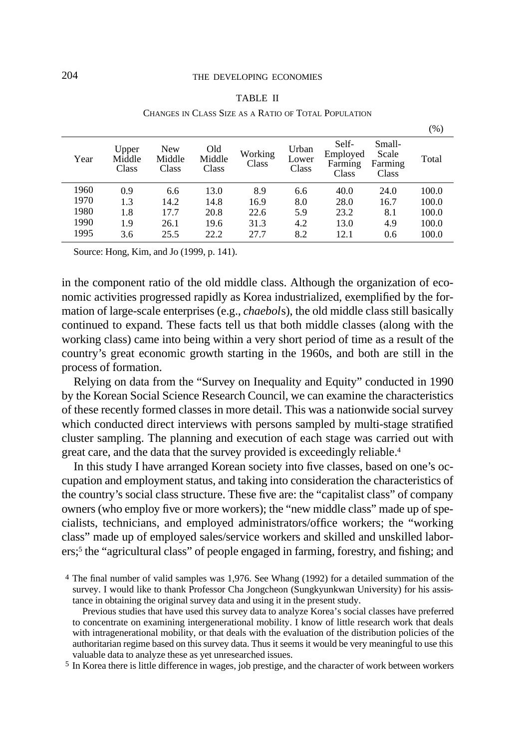#### TABLE II

|      |                          |                               |                        |                  |                         |                                       |                                     | $\cdots$ |
|------|--------------------------|-------------------------------|------------------------|------------------|-------------------------|---------------------------------------|-------------------------------------|----------|
| Year | Upper<br>Middle<br>Class | <b>New</b><br>Middle<br>Class | Old<br>Middle<br>Class | Working<br>Class | Urban<br>Lower<br>Class | Self-<br>Employed<br>Farming<br>Class | Small-<br>Scale<br>Farming<br>Class | Total    |
| 1960 | 0.9                      | 6.6                           | 13.0                   | 8.9              | 6.6                     | 40.0                                  | 24.0                                | 100.0    |
| 1970 | 1.3                      | 14.2                          | 14.8                   | 16.9             | 8.0                     | 28.0                                  | 16.7                                | 100.0    |
| 1980 | 1.8                      | 17.7                          | 20.8                   | 22.6             | 5.9                     | 23.2                                  | 8.1                                 | 100.0    |
| 1990 | 1.9                      | 26.1                          | 19.6                   | 31.3             | 4.2                     | 13.0                                  | 4.9                                 | 100.0    |
| 1995 | 3.6                      | 25.5                          | 22.2                   | 27.7             | 8.2                     | 12.1                                  | 0.6                                 | 100.0    |

#### CHANGES IN CLASS SIZE AS A RATIO OF TOTAL POPULATION

 $(0/)$ 

Source: Hong, Kim, and Jo (1999, p. 141).

in the component ratio of the old middle class. Although the organization of economic activities progressed rapidly as Korea industrialized, exemplified by the formation of large-scale enterprises (e.g., *chaebol*s), the old middle class still basically continued to expand. These facts tell us that both middle classes (along with the working class) came into being within a very short period of time as a result of the country's great economic growth starting in the 1960s, and both are still in the process of formation.

Relying on data from the "Survey on Inequality and Equity" conducted in 1990 by the Korean Social Science Research Council, we can examine the characteristics of these recently formed classes in more detail. This was a nationwide social survey which conducted direct interviews with persons sampled by multi-stage stratified cluster sampling. The planning and execution of each stage was carried out with great care, and the data that the survey provided is exceedingly reliable.4

In this study I have arranged Korean society into five classes, based on one's occupation and employment status, and taking into consideration the characteristics of the country's social class structure. These five are: the "capitalist class" of company owners (who employ five or more workers); the "new middle class" made up of specialists, technicians, and employed administrators/office workers; the "working class" made up of employed sales/service workers and skilled and unskilled laborers;5 the "agricultural class" of people engaged in farming, forestry, and fishing; and

<sup>4</sup> The final number of valid samples was 1,976. See Whang (1992) for a detailed summation of the survey. I would like to thank Professor Cha Jongcheon (Sungkyunkwan University) for his assistance in obtaining the original survey data and using it in the present study.

Previous studies that have used this survey data to analyze Korea's social classes have preferred to concentrate on examining intergenerational mobility. I know of little research work that deals with intragenerational mobility, or that deals with the evaluation of the distribution policies of the authoritarian regime based on this survey data. Thus it seems it would be very meaningful to use this valuable data to analyze these as yet unresearched issues.

<sup>5</sup> In Korea there is little difference in wages, job prestige, and the character of work between workers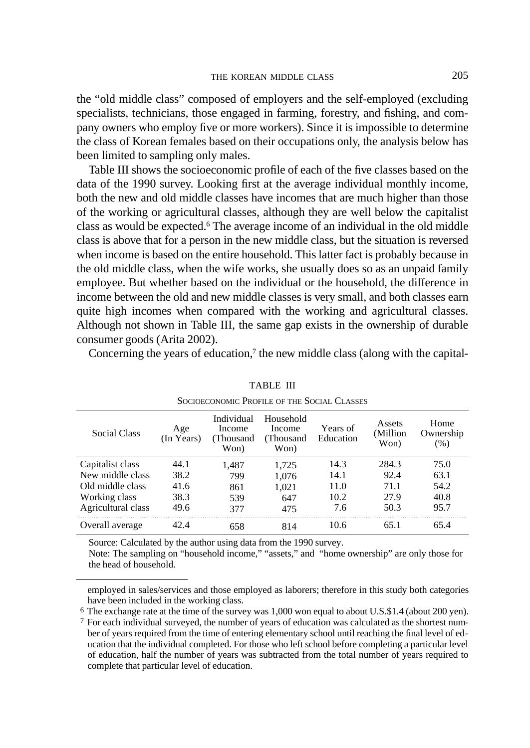the "old middle class" composed of employers and the self-employed (excluding specialists, technicians, those engaged in farming, forestry, and fishing, and company owners who employ five or more workers). Since it is impossible to determine the class of Korean females based on their occupations only, the analysis below has been limited to sampling only males.

Table III shows the socioeconomic profile of each of the five classes based on the data of the 1990 survey. Looking first at the average individual monthly income, both the new and old middle classes have incomes that are much higher than those of the working or agricultural classes, although they are well below the capitalist class as would be expected.6 The average income of an individual in the old middle class is above that for a person in the new middle class, but the situation is reversed when income is based on the entire household. This latter fact is probably because in the old middle class, when the wife works, she usually does so as an unpaid family employee. But whether based on the individual or the household, the difference in income between the old and new middle classes is very small, and both classes earn quite high incomes when compared with the working and agricultural classes. Although not shown in Table III, the same gap exists in the ownership of durable consumer goods (Arita 2002).

Concerning the years of education, $\overline{7}$  the new middle class (along with the capital-

| SOCIOECONOMIC PROFILE OF THE SOCIAL CLASSES |                   |                                           |                                           |                       |                            |                           |  |  |
|---------------------------------------------|-------------------|-------------------------------------------|-------------------------------------------|-----------------------|----------------------------|---------------------------|--|--|
| Social Class                                | Age<br>(In Years) | Individual<br>Income<br>(Thousand<br>Won) | Household<br>Income<br>(Thousand)<br>Won) | Years of<br>Education | Assets<br>(Million<br>Won) | Home<br>Ownership<br>(% ) |  |  |
| Capitalist class                            | 44.1              | 1.487                                     | 1.725                                     | 14.3                  | 284.3                      | 75.0                      |  |  |
| New middle class                            | 38.2              | 799                                       | 1.076                                     | 14.1                  | 92.4                       | 63.1                      |  |  |
| Old middle class                            | 41.6              | 861                                       | 1,021                                     | 11.0                  | 71.1                       | 54.2                      |  |  |
| Working class                               | 38.3              | 539                                       | 647                                       | 10.2                  | 27.9                       | 40.8                      |  |  |
| Agricultural class                          | 49.6              | 377                                       | 475                                       | 7.6                   | 50.3                       | 95.7                      |  |  |
| Overall average                             | 42.4              | 658                                       | 814                                       | 10.6                  | 65.1                       | 65.4                      |  |  |

TABLE III

SOCIOECONOMIC PROFILE OF THE SOCIAL CLASSES

Source: Calculated by the author using data from the 1990 survey.

Note: The sampling on "household income," "assets," and "home ownership" are only those for the head of household.

employed in sales/services and those employed as laborers; therefore in this study both categories have been included in the working class.

<sup>06</sup> The exchange rate at the time of the survey was 1,000 won equal to about U.S.\$1.4 (about 200 yen).

<sup>07</sup> For each individual surveyed, the number of years of education was calculated as the shortest number of years required from the time of entering elementary school until reaching the final level of education that the individual completed. For those who left school before completing a particular level of education, half the number of years was subtracted from the total number of years required to complete that particular level of education.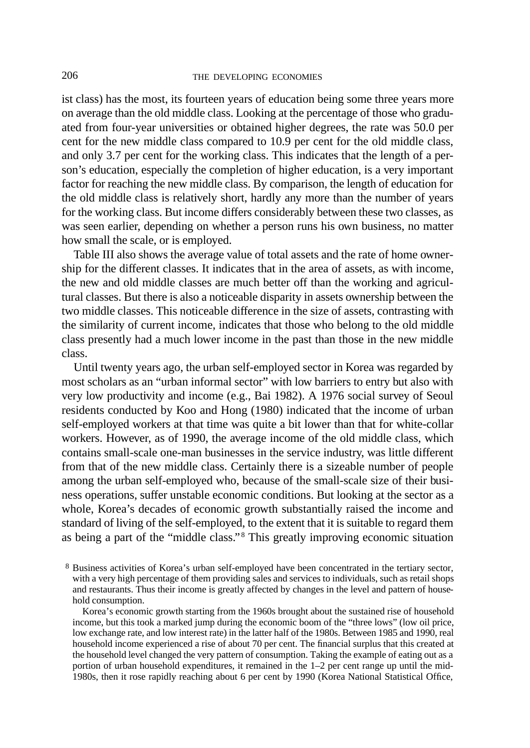ist class) has the most, its fourteen years of education being some three years more on average than the old middle class. Looking at the percentage of those who graduated from four-year universities or obtained higher degrees, the rate was 50.0 per cent for the new middle class compared to 10.9 per cent for the old middle class, and only 3.7 per cent for the working class. This indicates that the length of a person's education, especially the completion of higher education, is a very important factor for reaching the new middle class. By comparison, the length of education for the old middle class is relatively short, hardly any more than the number of years for the working class. But income differs considerably between these two classes, as was seen earlier, depending on whether a person runs his own business, no matter how small the scale, or is employed.

Table III also shows the average value of total assets and the rate of home ownership for the different classes. It indicates that in the area of assets, as with income, the new and old middle classes are much better off than the working and agricultural classes. But there is also a noticeable disparity in assets ownership between the two middle classes. This noticeable difference in the size of assets, contrasting with the similarity of current income, indicates that those who belong to the old middle class presently had a much lower income in the past than those in the new middle class.

Until twenty years ago, the urban self-employed sector in Korea was regarded by most scholars as an "urban informal sector" with low barriers to entry but also with very low productivity and income (e.g., Bai 1982). A 1976 social survey of Seoul residents conducted by Koo and Hong (1980) indicated that the income of urban self-employed workers at that time was quite a bit lower than that for white-collar workers. However, as of 1990, the average income of the old middle class, which contains small-scale one-man businesses in the service industry, was little different from that of the new middle class. Certainly there is a sizeable number of people among the urban self-employed who, because of the small-scale size of their business operations, suffer unstable economic conditions. But looking at the sector as a whole, Korea's decades of economic growth substantially raised the income and standard of living of the self-employed, to the extent that it is suitable to regard them as being a part of the "middle class."<sup>8</sup> This greatly improving economic situation

Korea's economic growth starting from the 1960s brought about the sustained rise of household income, but this took a marked jump during the economic boom of the "three lows" (low oil price, low exchange rate, and low interest rate) in the latter half of the 1980s. Between 1985 and 1990, real household income experienced a rise of about 70 per cent. The financial surplus that this created at the household level changed the very pattern of consumption. Taking the example of eating out as a portion of urban household expenditures, it remained in the 1–2 per cent range up until the mid-1980s, then it rose rapidly reaching about 6 per cent by 1990 (Korea National Statistical Office,

<sup>08</sup> Business activities of Korea's urban self-employed have been concentrated in the tertiary sector, with a very high percentage of them providing sales and services to individuals, such as retail shops and restaurants. Thus their income is greatly affected by changes in the level and pattern of household consumption.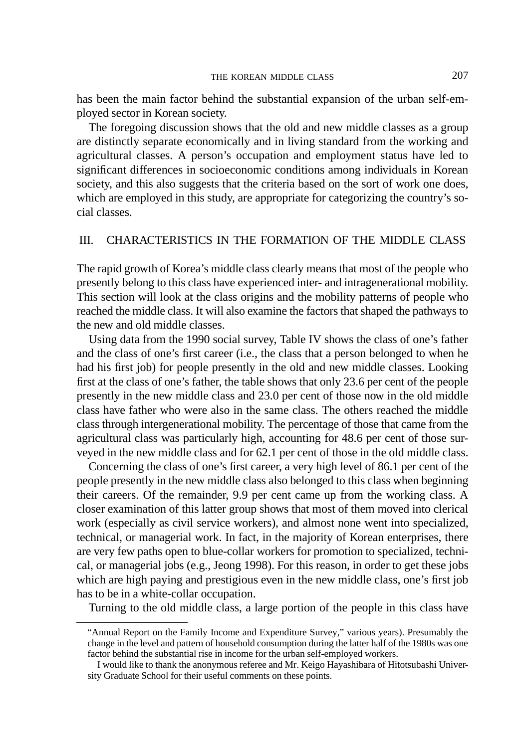has been the main factor behind the substantial expansion of the urban self-employed sector in Korean society.

The foregoing discussion shows that the old and new middle classes as a group are distinctly separate economically and in living standard from the working and agricultural classes. A person's occupation and employment status have led to significant differences in socioeconomic conditions among individuals in Korean society, and this also suggests that the criteria based on the sort of work one does, which are employed in this study, are appropriate for categorizing the country's social classes.

## III. CHARACTERISTICS IN THE FORMATION OF THE MIDDLE CLASS

The rapid growth of Korea's middle class clearly means that most of the people who presently belong to this class have experienced inter- and intragenerational mobility. This section will look at the class origins and the mobility patterns of people who reached the middle class. It will also examine the factors that shaped the pathways to the new and old middle classes.

Using data from the 1990 social survey, Table IV shows the class of one's father and the class of one's first career (i.e., the class that a person belonged to when he had his first job) for people presently in the old and new middle classes. Looking first at the class of one's father, the table shows that only 23.6 per cent of the people presently in the new middle class and 23.0 per cent of those now in the old middle class have father who were also in the same class. The others reached the middle class through intergenerational mobility. The percentage of those that came from the agricultural class was particularly high, accounting for 48.6 per cent of those surveyed in the new middle class and for 62.1 per cent of those in the old middle class.

Concerning the class of one's first career, a very high level of 86.1 per cent of the people presently in the new middle class also belonged to this class when beginning their careers. Of the remainder, 9.9 per cent came up from the working class. A closer examination of this latter group shows that most of them moved into clerical work (especially as civil service workers), and almost none went into specialized, technical, or managerial work. In fact, in the majority of Korean enterprises, there are very few paths open to blue-collar workers for promotion to specialized, technical, or managerial jobs (e.g., Jeong 1998). For this reason, in order to get these jobs which are high paying and prestigious even in the new middle class, one's first job has to be in a white-collar occupation.

Turning to the old middle class, a large portion of the people in this class have

<sup>&</sup>quot;Annual Report on the Family Income and Expenditure Survey," various years). Presumably the change in the level and pattern of household consumption during the latter half of the 1980s was one factor behind the substantial rise in income for the urban self-employed workers.

I would like to thank the anonymous referee and Mr. Keigo Hayashibara of Hitotsubashi University Graduate School for their useful comments on these points.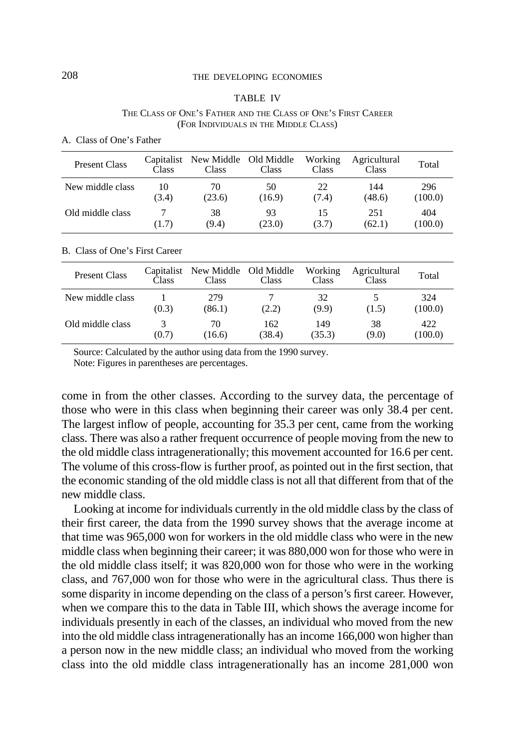#### TABLE IV

#### THE CLASS OF ONE'S FATHER AND THE CLASS OF ONE'S FIRST CAREER (FOR INDIVIDUALS IN THE MIDDLE CLASS)

### A. Class of One's Father

| Present Class    | Class       | Capitalist New Middle Old Middle<br><b>Class</b> | <b>Class</b> | Working<br><b>Class</b> | Agricultural<br>Class | Total          |
|------------------|-------------|--------------------------------------------------|--------------|-------------------------|-----------------------|----------------|
| New middle class | 10<br>(3.4) | 70<br>(23.6)                                     | 50<br>(16.9) | 22<br>(7.4)             | 144<br>(48.6)         | 296<br>(100.0) |
| Old middle class | (1.7)       | 38<br>(9.4)                                      | 93<br>(23.0) | 15<br>(3.7)             | 251<br>(62.1)         | 404<br>(100.0) |

#### B. Class of One's First Career

| <b>Present Class</b> | Capitalist<br><b>Class</b> | New Middle Old Middle<br>Class | Class         | Working<br>Class | Agricultural<br>Class | Total          |
|----------------------|----------------------------|--------------------------------|---------------|------------------|-----------------------|----------------|
| New middle class     | (0.3)                      | 279<br>(86.1)                  | (2.2)         | 32<br>(9.9)      | (1.5)                 | 324<br>(100.0) |
| Old middle class     | 3<br>(0.7)                 | 70<br>(16.6)                   | 162<br>(38.4) | 149<br>(35.3)    | 38<br>(9.0)           | 422<br>(100.0) |

Source: Calculated by the author using data from the 1990 survey.

Note: Figures in parentheses are percentages.

come in from the other classes. According to the survey data, the percentage of those who were in this class when beginning their career was only 38.4 per cent. The largest inflow of people, accounting for 35.3 per cent, came from the working class. There was also a rather frequent occurrence of people moving from the new to the old middle class intragenerationally; this movement accounted for 16.6 per cent. The volume of this cross-flow is further proof, as pointed out in the first section, that the economic standing of the old middle class is not all that different from that of the new middle class.

Looking at income for individuals currently in the old middle class by the class of their first career, the data from the 1990 survey shows that the average income at that time was 965,000 won for workers in the old middle class who were in the new middle class when beginning their career; it was 880,000 won for those who were in the old middle class itself; it was 820,000 won for those who were in the working class, and 767,000 won for those who were in the agricultural class. Thus there is some disparity in income depending on the class of a person's first career. However, when we compare this to the data in Table III, which shows the average income for individuals presently in each of the classes, an individual who moved from the new into the old middle class intragenerationally has an income 166,000 won higher than a person now in the new middle class; an individual who moved from the working class into the old middle class intragenerationally has an income 281,000 won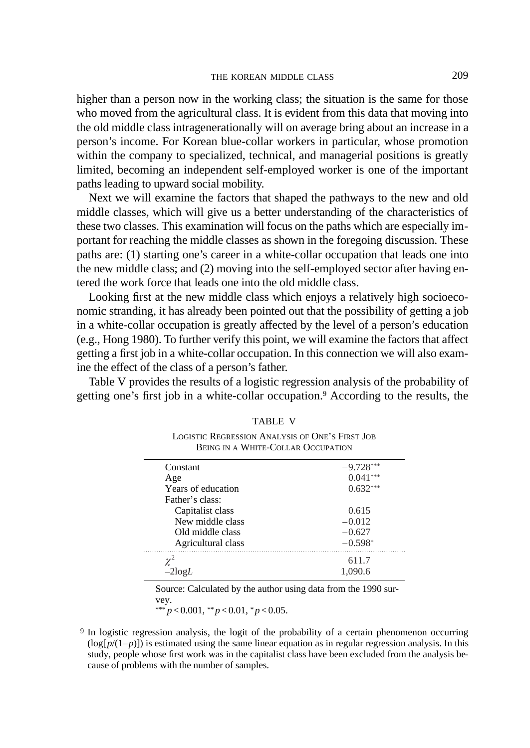higher than a person now in the working class; the situation is the same for those who moved from the agricultural class. It is evident from this data that moving into the old middle class intragenerationally will on average bring about an increase in a person's income. For Korean blue-collar workers in particular, whose promotion within the company to specialized, technical, and managerial positions is greatly limited, becoming an independent self-employed worker is one of the important paths leading to upward social mobility.

Next we will examine the factors that shaped the pathways to the new and old middle classes, which will give us a better understanding of the characteristics of these two classes. This examination will focus on the paths which are especially important for reaching the middle classes as shown in the foregoing discussion. These paths are: (1) starting one's career in a white-collar occupation that leads one into the new middle class; and (2) moving into the self-employed sector after having entered the work force that leads one into the old middle class.

Looking first at the new middle class which enjoys a relatively high socioeconomic stranding, it has already been pointed out that the possibility of getting a job in a white-collar occupation is greatly affected by the level of a person's education (e.g., Hong 1980). To further verify this point, we will examine the factors that affect getting a first job in a white-collar occupation. In this connection we will also examine the effect of the class of a person's father.

Table V provides the results of a logistic regression analysis of the probability of getting one's first job in a white-collar occupation.9 According to the results, the

| Constant           | $-9.728***$ |
|--------------------|-------------|
| Age                | $0.041***$  |
| Years of education | $0.632***$  |
| Father's class:    |             |
| Capitalist class   | 0.615       |
| New middle class   | $-0.012$    |
| Old middle class   | $-0.627$    |
| Agricultural class | $-0.598*$   |
| $\chi^2$           | 611.7       |
| $-2logL$           |             |
|                    |             |

TABLE V

LOGISTIC REGRESSION ANALYSIS OF ONE'S FIRST JOB BEING IN A WHITE-COLLAR OCCUPATION

Source: Calculated by the author using data from the 1990 survey.

$$
^{***}p<0.001, ^{**}p<0.01, ^{*}p<0.05.
$$

<sup>&</sup>lt;sup>9</sup> In logistic regression analysis, the logit of the probability of a certain phenomenon occurring  $(log[p/(1-p)])$  is estimated using the same linear equation as in regular regression analysis. In this study, people whose first work was in the capitalist class have been excluded from the analysis because of problems with the number of samples.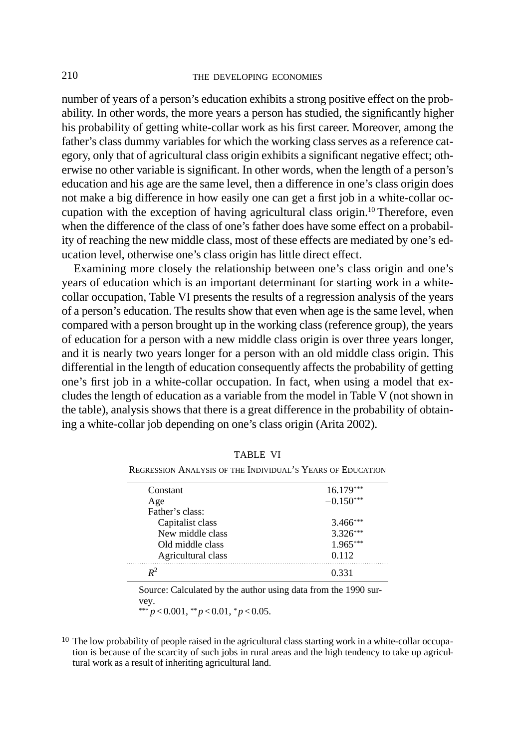number of years of a person's education exhibits a strong positive effect on the probability. In other words, the more years a person has studied, the significantly higher his probability of getting white-collar work as his first career. Moreover, among the father's class dummy variables for which the working class serves as a reference category, only that of agricultural class origin exhibits a significant negative effect; otherwise no other variable is significant. In other words, when the length of a person's education and his age are the same level, then a difference in one's class origin does not make a big difference in how easily one can get a first job in a white-collar occupation with the exception of having agricultural class origin.10 Therefore, even when the difference of the class of one's father does have some effect on a probability of reaching the new middle class, most of these effects are mediated by one's education level, otherwise one's class origin has little direct effect.

Examining more closely the relationship between one's class origin and one's years of education which is an important determinant for starting work in a whitecollar occupation, Table VI presents the results of a regression analysis of the years of a person's education. The results show that even when age is the same level, when compared with a person brought up in the working class (reference group), the years of education for a person with a new middle class origin is over three years longer, and it is nearly two years longer for a person with an old middle class origin. This differential in the length of education consequently affects the probability of getting one's first job in a white-collar occupation. In fact, when using a model that excludes the length of education as a variable from the model in Table V (not shown in the table), analysis shows that there is a great difference in the probability of obtaining a white-collar job depending on one's class origin (Arita 2002).

| Constant           | $16.179***$ |
|--------------------|-------------|
| Age                | $-0.150***$ |
| Father's class:    |             |
| Capitalist class   | $3.466***$  |
| New middle class   | $3.326***$  |
| Old middle class   | $1.965***$  |
| Agricultural class | 0.112       |
|                    | Q 331       |

TABLE VI

REGRESSION ANALYSIS OF THE INDIVIDUAL'S YEARS OF EDUCATION

Source: Calculated by the author using data from the 1990 survey.

\*\*\* *p* < 0.001, \*\* *p* < 0.01, \* *p* < 0.05.

<sup>10</sup> The low probability of people raised in the agricultural class starting work in a white-collar occupation is because of the scarcity of such jobs in rural areas and the high tendency to take up agricultural work as a result of inheriting agricultural land.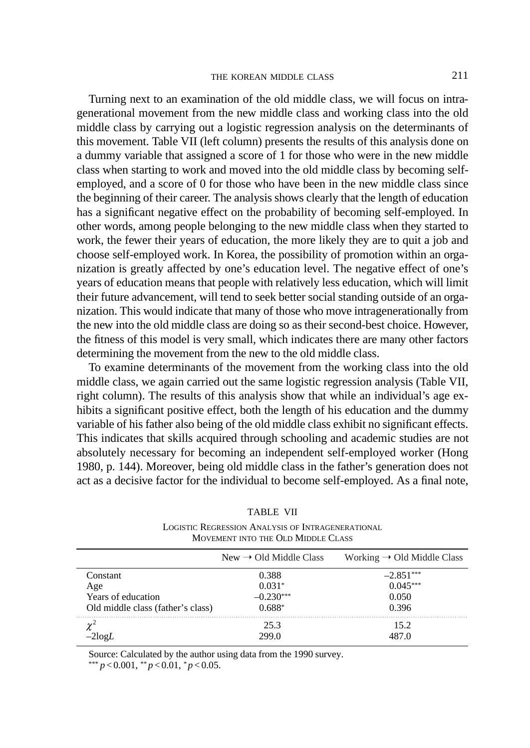Turning next to an examination of the old middle class, we will focus on intragenerational movement from the new middle class and working class into the old middle class by carrying out a logistic regression analysis on the determinants of this movement. Table VII (left column) presents the results of this analysis done on a dummy variable that assigned a score of 1 for those who were in the new middle class when starting to work and moved into the old middle class by becoming selfemployed, and a score of 0 for those who have been in the new middle class since the beginning of their career. The analysis shows clearly that the length of education has a significant negative effect on the probability of becoming self-employed. In other words, among people belonging to the new middle class when they started to work, the fewer their years of education, the more likely they are to quit a job and choose self-employed work. In Korea, the possibility of promotion within an organization is greatly affected by one's education level. The negative effect of one's years of education means that people with relatively less education, which will limit their future advancement, will tend to seek better social standing outside of an organization. This would indicate that many of those who move intragenerationally from the new into the old middle class are doing so as their second-best choice. However, the fitness of this model is very small, which indicates there are many other factors determining the movement from the new to the old middle class.

To examine determinants of the movement from the working class into the old middle class, we again carried out the same logistic regression analysis (Table VII, right column). The results of this analysis show that while an individual's age exhibits a significant positive effect, both the length of his education and the dummy variable of his father also being of the old middle class exhibit no significant effects. This indicates that skills acquired through schooling and academic studies are not absolutely necessary for becoming an independent self-employed worker (Hong 1980, p. 144). Moreover, being old middle class in the father's generation does not act as a decisive factor for the individual to become self-employed. As a final note,

|                                   | $New \rightarrow Old Middle Class$ | Working $\rightarrow$ Old Middle Class |
|-----------------------------------|------------------------------------|----------------------------------------|
| Constant                          | 0.388                              | $-2.851***$                            |
| Age                               | $0.031*$                           | $0.045***$                             |
| Years of education                | $-0.230***$                        | 0.050                                  |
| Old middle class (father's class) | $0.688*$                           | 0.396                                  |
|                                   | 25.3                               | 15.2                                   |
| $-2logL$                          | 299.0                              | 187 O                                  |

| TABLE : | - VII |
|---------|-------|
|---------|-------|

LOGISTIC REGRESSION ANALYSIS OF INTRAGENERATIONAL MOVEMENT INTO THE OLD MIDDLE CLASS

Source: Calculated by the author using data from the 1990 survey.

\*\*\*  $p < 0.001$ , \*\*  $p < 0.01$ , \*  $p < 0.05$ .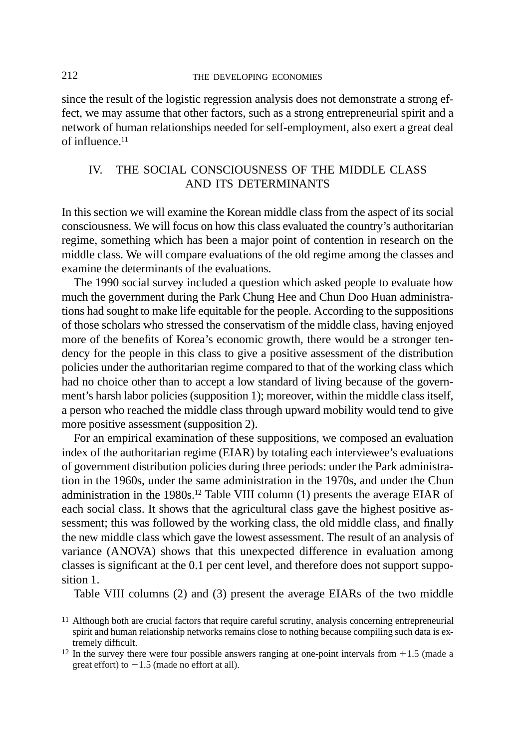since the result of the logistic regression analysis does not demonstrate a strong effect, we may assume that other factors, such as a strong entrepreneurial spirit and a network of human relationships needed for self-employment, also exert a great deal of influence.11

## IV. THE SOCIAL CONSCIOUSNESS OF THE MIDDLE CLASS AND ITS DETERMINANTS

In this section we will examine the Korean middle class from the aspect of its social consciousness. We will focus on how this class evaluated the country's authoritarian regime, something which has been a major point of contention in research on the middle class. We will compare evaluations of the old regime among the classes and examine the determinants of the evaluations.

The 1990 social survey included a question which asked people to evaluate how much the government during the Park Chung Hee and Chun Doo Huan administrations had sought to make life equitable for the people. According to the suppositions of those scholars who stressed the conservatism of the middle class, having enjoyed more of the benefits of Korea's economic growth, there would be a stronger tendency for the people in this class to give a positive assessment of the distribution policies under the authoritarian regime compared to that of the working class which had no choice other than to accept a low standard of living because of the government's harsh labor policies (supposition 1); moreover, within the middle class itself, a person who reached the middle class through upward mobility would tend to give more positive assessment (supposition 2).

For an empirical examination of these suppositions, we composed an evaluation index of the authoritarian regime (EIAR) by totaling each interviewee's evaluations of government distribution policies during three periods: under the Park administration in the 1960s, under the same administration in the 1970s, and under the Chun administration in the 1980s.12 Table VIII column (1) presents the average EIAR of each social class. It shows that the agricultural class gave the highest positive assessment; this was followed by the working class, the old middle class, and finally the new middle class which gave the lowest assessment. The result of an analysis of variance (ANOVA) shows that this unexpected difference in evaluation among classes is significant at the 0.1 per cent level, and therefore does not support supposition 1.

Table VIII columns (2) and (3) present the average EIARs of the two middle

<sup>11</sup> Although both are crucial factors that require careful scrutiny, analysis concerning entrepreneurial spirit and human relationship networks remains close to nothing because compiling such data is extremely difficult.

 $12$  In the survey there were four possible answers ranging at one-point intervals from  $+1.5$  (made a great effort) to  $-1.5$  (made no effort at all).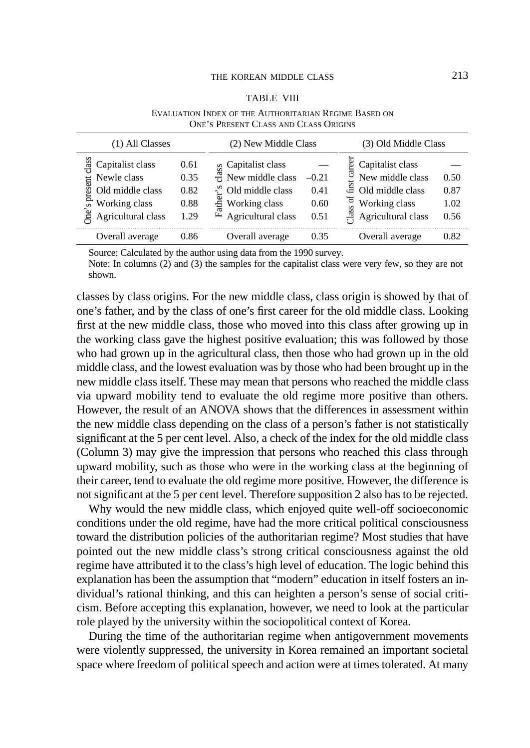### TABLE VIII

| (1) All Classes |                    |      | (2) New Middle Class                   |         | (3) Old Middle Class              |      |  |
|-----------------|--------------------|------|----------------------------------------|---------|-----------------------------------|------|--|
| class           | Capitalist class   | 0.61 | g Capitalist class                     |         | reer<br>Capitalist class          |      |  |
|                 | Newle class        | 0.35 | $\frac{a}{b}$ New middle class         | $-0.21$ | New middle class<br>st c          | 0.50 |  |
| present         | Old middle class   | 0.82 | $\sum_{n=1}^{\infty}$ Old middle class | 0.41    | $\ddot{=}$ Old middle class       | 0.87 |  |
|                 | Working class      | 0.88 | $\frac{3}{2}$ Working class            | 0.60    | $\frac{3}{2}$ of<br>Working class | 1.02 |  |
|                 | Agricultural class | 1.29 | $ightharpoonup$ Agricultural class     | 0.51    | Agricultural class                | 0.56 |  |
|                 | Overall average    | 0.86 | Overall average                        | 0.35    | Overall average                   | 0.82 |  |

EVALUATION INDEX OF THE AUTHORITARIAN REGIME BASED ON ONE'S PRESENT CLASS AND CLASS ORIGINS

Source: Calculated by the author using data from the 1990 survey.

Note: In columns (2) and (3) the samples for the capitalist class were very few, so they are not shown.

classes by class origins. For the new middle class, class origin is showed by that of one's father, and by the class of one's first career for the old middle class. Looking first at the new middle class, those who moved into this class after growing up in the working class gave the highest positive evaluation; this was followed by those who had grown up in the agricultural class, then those who had grown up in the old middle class, and the lowest evaluation was by those who had been brought up in the new middle class itself. These may mean that persons who reached the middle class via upward mobility tend to evaluate the old regime more positive than others. However, the result of an ANOVA shows that the differences in assessment within the new middle class depending on the class of a person's father is not statistically significant at the 5 per cent level. Also, a check of the index for the old middle class (Column 3) may give the impression that persons who reached this class through upward mobility, such as those who were in the working class at the beginning of their career, tend to evaluate the old regime more positive. However, the difference is not significant at the 5 per cent level. Therefore supposition 2 also has to be rejected.

Why would the new middle class, which enjoyed quite well-off socioeconomic conditions under the old regime, have had the more critical political consciousness toward the distribution policies of the authoritarian regime? Most studies that have pointed out the new middle class's strong critical consciousness against the old regime have attributed it to the class's high level of education. The logic behind this explanation has been the assumption that "modern" education in itself fosters an individual's rational thinking, and this can heighten a person's sense of social criticism. Before accepting this explanation, however, we need to look at the particular role played by the university within the sociopolitical context of Korea.

During the time of the authoritarian regime when antigovernment movements were violently suppressed, the university in Korea remained an important societal space where freedom of political speech and action were at times tolerated. At many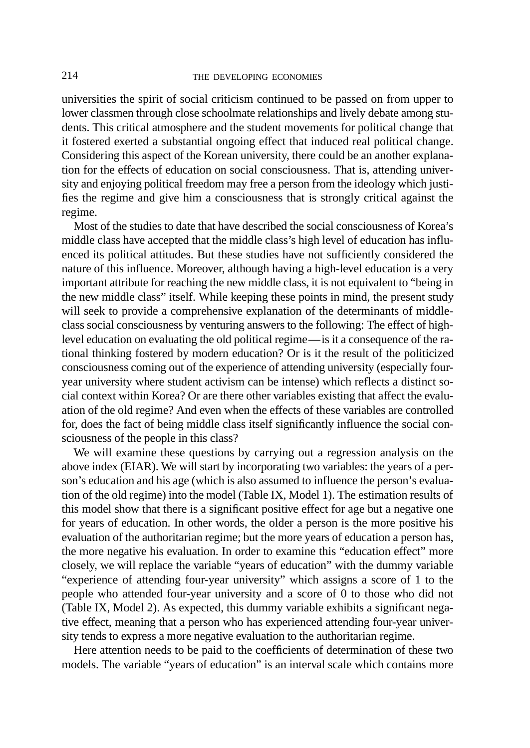universities the spirit of social criticism continued to be passed on from upper to lower classmen through close schoolmate relationships and lively debate among students. This critical atmosphere and the student movements for political change that it fostered exerted a substantial ongoing effect that induced real political change. Considering this aspect of the Korean university, there could be an another explanation for the effects of education on social consciousness. That is, attending university and enjoying political freedom may free a person from the ideology which justifies the regime and give him a consciousness that is strongly critical against the regime.

Most of the studies to date that have described the social consciousness of Korea's middle class have accepted that the middle class's high level of education has influenced its political attitudes. But these studies have not sufficiently considered the nature of this influence. Moreover, although having a high-level education is a very important attribute for reaching the new middle class, it is not equivalent to "being in the new middle class" itself. While keeping these points in mind, the present study will seek to provide a comprehensive explanation of the determinants of middleclass social consciousness by venturing answers to the following: The effect of highlevel education on evaluating the old political regime—is it a consequence of the rational thinking fostered by modern education? Or is it the result of the politicized consciousness coming out of the experience of attending university (especially fouryear university where student activism can be intense) which reflects a distinct social context within Korea? Or are there other variables existing that affect the evaluation of the old regime? And even when the effects of these variables are controlled for, does the fact of being middle class itself significantly influence the social consciousness of the people in this class?

We will examine these questions by carrying out a regression analysis on the above index (EIAR). We will start by incorporating two variables: the years of a person's education and his age (which is also assumed to influence the person's evaluation of the old regime) into the model (Table IX, Model 1). The estimation results of this model show that there is a significant positive effect for age but a negative one for years of education. In other words, the older a person is the more positive his evaluation of the authoritarian regime; but the more years of education a person has, the more negative his evaluation. In order to examine this "education effect" more closely, we will replace the variable "years of education" with the dummy variable "experience of attending four-year university" which assigns a score of 1 to the people who attended four-year university and a score of 0 to those who did not (Table IX, Model 2). As expected, this dummy variable exhibits a significant negative effect, meaning that a person who has experienced attending four-year university tends to express a more negative evaluation to the authoritarian regime.

Here attention needs to be paid to the coefficients of determination of these two models. The variable "years of education" is an interval scale which contains more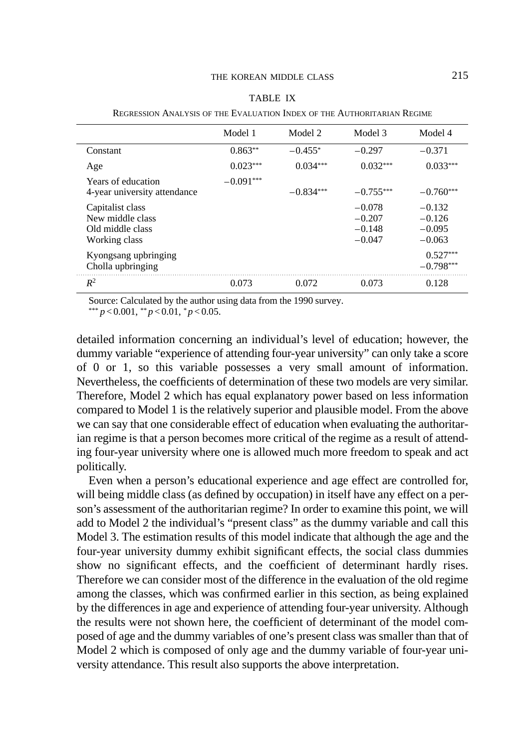|                                                                           | Model 1     | Model 2     | Model 3                                      | Model 4                                      |
|---------------------------------------------------------------------------|-------------|-------------|----------------------------------------------|----------------------------------------------|
| Constant                                                                  | $0.863**$   | $-0.455*$   | $-0.297$                                     | $-0.371$                                     |
| Age                                                                       | $0.023***$  | $0.034***$  | $0.032***$                                   | $0.033***$                                   |
| Years of education<br>4-year university attendance                        | $-0.091***$ | $-0.834***$ | $-0.755***$                                  | $-0.760***$                                  |
| Capitalist class<br>New middle class<br>Old middle class<br>Working class |             |             | $-0.078$<br>$-0.207$<br>$-0.148$<br>$-0.047$ | $-0.132$<br>$-0.126$<br>$-0.095$<br>$-0.063$ |
| Kyongsang upbringing<br>Cholla upbringing                                 |             |             |                                              | $0.527***$<br>$-0.798***$                    |
| $R^2$                                                                     | 0.073       | 0.072       | 0.073                                        | 0.128                                        |

### TABLE IX

REGRESSION ANALYSIS OF THE EVALUATION INDEX OF THE AUTHORITARIAN REGIME

Source: Calculated by the author using data from the 1990 survey.

\*\*\*  $p < 0.001$ , \*\*  $p < 0.01$ , \*  $p < 0.05$ .

detailed information concerning an individual's level of education; however, the dummy variable "experience of attending four-year university" can only take a score of 0 or 1, so this variable possesses a very small amount of information. Nevertheless, the coefficients of determination of these two models are very similar. Therefore, Model 2 which has equal explanatory power based on less information compared to Model 1 is the relatively superior and plausible model. From the above we can say that one considerable effect of education when evaluating the authoritarian regime is that a person becomes more critical of the regime as a result of attending four-year university where one is allowed much more freedom to speak and act politically.

Even when a person's educational experience and age effect are controlled for, will being middle class (as defined by occupation) in itself have any effect on a person's assessment of the authoritarian regime? In order to examine this point, we will add to Model 2 the individual's "present class" as the dummy variable and call this Model 3. The estimation results of this model indicate that although the age and the four-year university dummy exhibit significant effects, the social class dummies show no significant effects, and the coefficient of determinant hardly rises. Therefore we can consider most of the difference in the evaluation of the old regime among the classes, which was confirmed earlier in this section, as being explained by the differences in age and experience of attending four-year university. Although the results were not shown here, the coefficient of determinant of the model composed of age and the dummy variables of one's present class was smaller than that of Model 2 which is composed of only age and the dummy variable of four-year university attendance. This result also supports the above interpretation.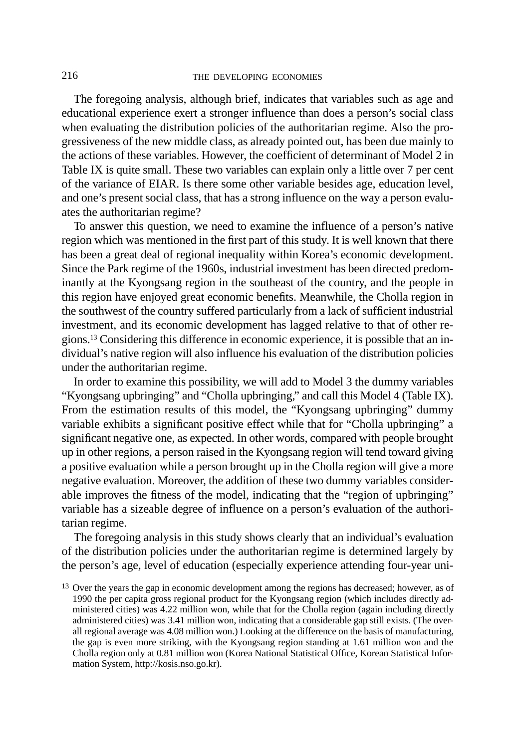The foregoing analysis, although brief, indicates that variables such as age and educational experience exert a stronger influence than does a person's social class when evaluating the distribution policies of the authoritarian regime. Also the progressiveness of the new middle class, as already pointed out, has been due mainly to the actions of these variables. However, the coefficient of determinant of Model 2 in Table IX is quite small. These two variables can explain only a little over 7 per cent of the variance of EIAR. Is there some other variable besides age, education level, and one's present social class, that has a strong influence on the way a person evaluates the authoritarian regime?

To answer this question, we need to examine the influence of a person's native region which was mentioned in the first part of this study. It is well known that there has been a great deal of regional inequality within Korea's economic development. Since the Park regime of the 1960s, industrial investment has been directed predominantly at the Kyongsang region in the southeast of the country, and the people in this region have enjoyed great economic benefits. Meanwhile, the Cholla region in the southwest of the country suffered particularly from a lack of sufficient industrial investment, and its economic development has lagged relative to that of other regions.13 Considering this difference in economic experience, it is possible that an individual's native region will also influence his evaluation of the distribution policies under the authoritarian regime.

In order to examine this possibility, we will add to Model 3 the dummy variables "Kyongsang upbringing" and "Cholla upbringing," and call this Model 4 (Table IX). From the estimation results of this model, the "Kyongsang upbringing" dummy variable exhibits a significant positive effect while that for "Cholla upbringing" a significant negative one, as expected. In other words, compared with people brought up in other regions, a person raised in the Kyongsang region will tend toward giving a positive evaluation while a person brought up in the Cholla region will give a more negative evaluation. Moreover, the addition of these two dummy variables considerable improves the fitness of the model, indicating that the "region of upbringing" variable has a sizeable degree of influence on a person's evaluation of the authoritarian regime.

The foregoing analysis in this study shows clearly that an individual's evaluation of the distribution policies under the authoritarian regime is determined largely by the person's age, level of education (especially experience attending four-year uni-

<sup>&</sup>lt;sup>13</sup> Over the years the gap in economic development among the regions has decreased; however, as of 1990 the per capita gross regional product for the Kyongsang region (which includes directly administered cities) was 4.22 million won, while that for the Cholla region (again including directly administered cities) was 3.41 million won, indicating that a considerable gap still exists. (The overall regional average was 4.08 million won.) Looking at the difference on the basis of manufacturing, the gap is even more striking, with the Kyongsang region standing at 1.61 million won and the Cholla region only at 0.81 million won (Korea National Statistical Office, Korean Statistical Information System, http://kosis.nso.go.kr).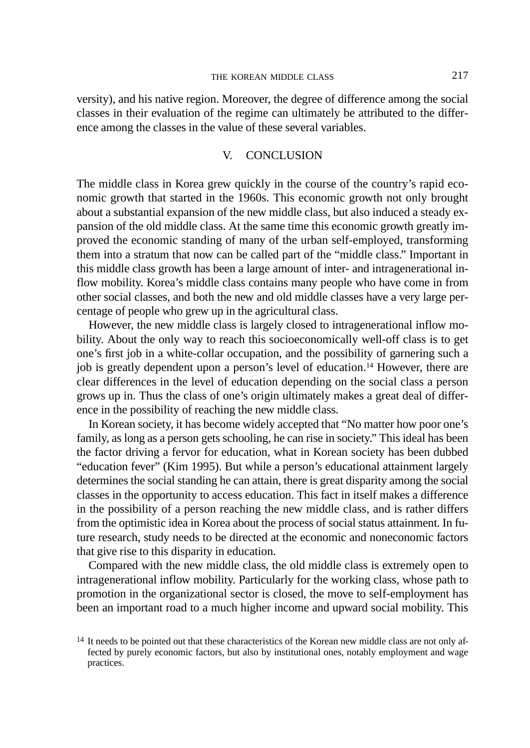versity), and his native region. Moreover, the degree of difference among the social classes in their evaluation of the regime can ultimately be attributed to the difference among the classes in the value of these several variables.

## V. CONCLUSION

The middle class in Korea grew quickly in the course of the country's rapid economic growth that started in the 1960s. This economic growth not only brought about a substantial expansion of the new middle class, but also induced a steady expansion of the old middle class. At the same time this economic growth greatly improved the economic standing of many of the urban self-employed, transforming them into a stratum that now can be called part of the "middle class." Important in this middle class growth has been a large amount of inter- and intragenerational inflow mobility. Korea's middle class contains many people who have come in from other social classes, and both the new and old middle classes have a very large percentage of people who grew up in the agricultural class.

However, the new middle class is largely closed to intragenerational inflow mobility. About the only way to reach this socioeconomically well-off class is to get one's first job in a white-collar occupation, and the possibility of garnering such a job is greatly dependent upon a person's level of education.14 However, there are clear differences in the level of education depending on the social class a person grows up in. Thus the class of one's origin ultimately makes a great deal of difference in the possibility of reaching the new middle class.

In Korean society, it has become widely accepted that "No matter how poor one's family, as long as a person gets schooling, he can rise in society." This ideal has been the factor driving a fervor for education, what in Korean society has been dubbed "education fever" (Kim 1995). But while a person's educational attainment largely determines the social standing he can attain, there is great disparity among the social classes in the opportunity to access education. This fact in itself makes a difference in the possibility of a person reaching the new middle class, and is rather differs from the optimistic idea in Korea about the process of social status attainment. In future research, study needs to be directed at the economic and noneconomic factors that give rise to this disparity in education.

Compared with the new middle class, the old middle class is extremely open to intragenerational inflow mobility. Particularly for the working class, whose path to promotion in the organizational sector is closed, the move to self-employment has been an important road to a much higher income and upward social mobility. This

<sup>&</sup>lt;sup>14</sup> It needs to be pointed out that these characteristics of the Korean new middle class are not only affected by purely economic factors, but also by institutional ones, notably employment and wage practices.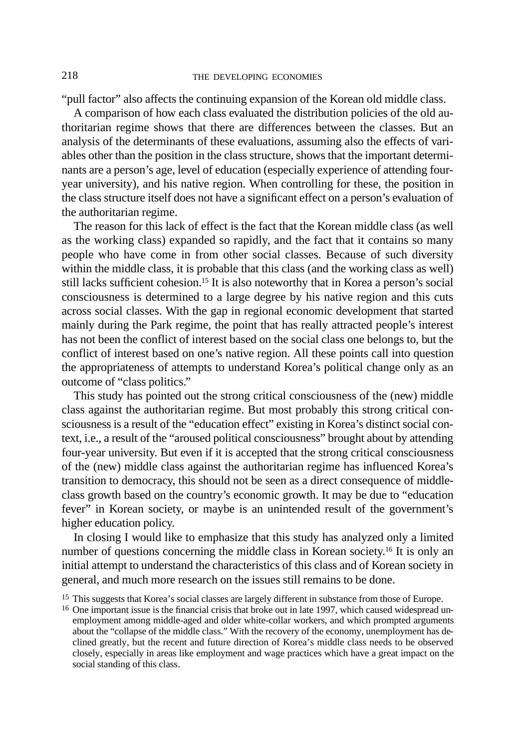"pull factor" also affects the continuing expansion of the Korean old middle class.

A comparison of how each class evaluated the distribution policies of the old authoritarian regime shows that there are differences between the classes. But an analysis of the determinants of these evaluations, assuming also the effects of variables other than the position in the class structure, shows that the important determinants are a person's age, level of education (especially experience of attending fouryear university), and his native region. When controlling for these, the position in the class structure itself does not have a significant effect on a person's evaluation of the authoritarian regime.

The reason for this lack of effect is the fact that the Korean middle class (as well as the working class) expanded so rapidly, and the fact that it contains so many people who have come in from other social classes. Because of such diversity within the middle class, it is probable that this class (and the working class as well) still lacks sufficient cohesion.15 It is also noteworthy that in Korea a person's social consciousness is determined to a large degree by his native region and this cuts across social classes. With the gap in regional economic development that started mainly during the Park regime, the point that has really attracted people's interest has not been the conflict of interest based on the social class one belongs to, but the conflict of interest based on one's native region. All these points call into question the appropriateness of attempts to understand Korea's political change only as an outcome of "class politics."

This study has pointed out the strong critical consciousness of the (new) middle class against the authoritarian regime. But most probably this strong critical consciousness is a result of the "education effect" existing in Korea's distinct social context, i.e., a result of the "aroused political consciousness" brought about by attending four-year university. But even if it is accepted that the strong critical consciousness of the (new) middle class against the authoritarian regime has influenced Korea's transition to democracy, this should not be seen as a direct consequence of middleclass growth based on the country's economic growth. It may be due to "education fever" in Korean society, or maybe is an unintended result of the government's higher education policy.

In closing I would like to emphasize that this study has analyzed only a limited number of questions concerning the middle class in Korean society.16 It is only an initial attempt to understand the characteristics of this class and of Korean society in general, and much more research on the issues still remains to be done.

<sup>15</sup> This suggests that Korea's social classes are largely different in substance from those of Europe.

<sup>&</sup>lt;sup>16</sup> One important issue is the financial crisis that broke out in late 1997, which caused widespread unemployment among middle-aged and older white-collar workers, and which prompted arguments about the "collapse of the middle class." With the recovery of the economy, unemployment has declined greatly, but the recent and future direction of Korea's middle class needs to be observed closely, especially in areas like employment and wage practices which have a great impact on the social standing of this class.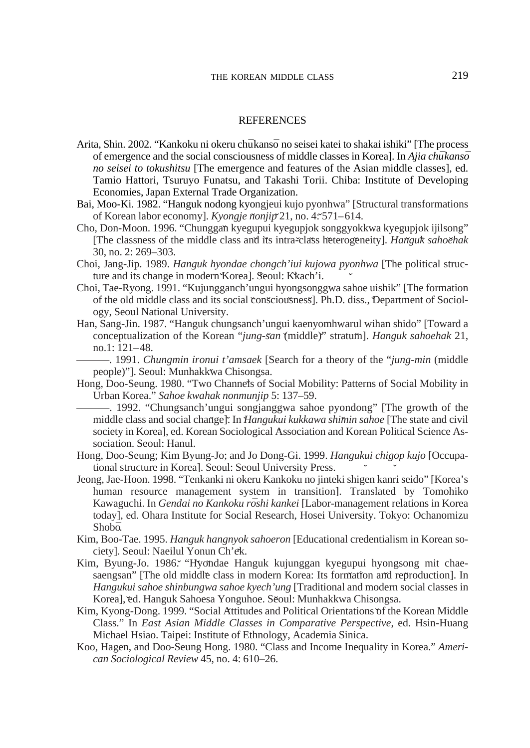#### **REFERENCES**

- Arita, Shin. 2002. "Kankoku ni okeru chūkansō no seisei katei to shakai ishiki" [The process of emergence and the social consciousness of middle classes in Korea]. In *Ajia chūkanso no seisei to tokushitsu* [The emergence and features of the Asian middle classes], ed. Tamio Hattori, Tsuruyo Funatsu, and Takashi Torii. Chiba: Institute of Developing Economies, Japan External Trade Organization.
- Bai, Moo-Ki. 1982. "Hanguk nodong kyongjeui kujo pyonhwa" [Structural transformations  $\mathbb{E}[K]$ of Korean labor economy]. *Kyo*ˆ*ngje nonjip* 21, no. 4: 571–614.
- Cho, Don-Moon. 1996. "Chunggan kyegupui kyegupiok songgyokkwa kyegupiok ijilsong"<br>
The planners of the middle show Y Y interview is a state of the state of the state of the state of the state [The classness of the middle class and its intra-class heterogeneity]. *Hanguk sahoehak* 30, no. 2: 269–303.
- Choi, Jang-Jip. 1989. *Hanguk hyondae chongch'iui kujowa pyonhwa* [The political structure and its change in modern Korea]. Seoul: Kkach'i.
- Choi, Tae-Ryong. 1991. "Kujungganch'ungui hyongsonggwa sahoe uishik" [The formation ː ː] of the old middle class and its social consciousness]. Ph.D. diss., Department of Sociology, Seoul National University.
- Han, Sang-Jin. 1987. "Hanguk chungsanch'ungui kaenyomhwarul wihan shido" [Toward a ∂1] conceptualization of the Korean "*jung-san* (middle)" stratum]. *Hanguk sahoehak* 21, no.1: 121–48.

—. 1991. *Chungmin ironu*ˆ*i t'amsaek* [Search for a theory of the "*jung-min* (middle people)"]. Seoul: Munhakkwa Chisongsa.

ˆ Hong, Doo-Seung. 1980. "Two Channels of Social Mobility: Patterns of Social Mobility in Urban Korea." *Sahoe kwahak nonmunjip* 5: 137–59.

-. 1992. "Chungsanch'ungui songjanggwa sahoe pyondong" [The growth of the middle class and social change]. In *Hangukui kukkawa shimin sahoe* [The state and civil] society in Korea], ed. Korean Sociological Association and Korean Political Science Association. Seoul: Hanul.

- Hong, Doo-Seung; Kim Byung-Jo; and Jo Dong-Gi. 1999. *Hangukui chigop kujo* [Occupational structure in Korea]. Seoul: Seoul University Press.
- Jeong, Jae-Hoon. 1998. "Tenkanki ni okeru Kankoku no jinteki shigen kanri seido" [Korea's human resource management system in transition]. Translated by Tomohiko Kawaguchi. In *Gendai no Kankoku rōshi kankei* [Labor-management relations in Korea today], ed. Ohara Institute for Social Research, Hosei University. Tokyo: Ochanomizu Shobō.
- Kim, Boo-Tae. 1995. *Hanguk hangnyok sahoeron* [Educational credentialism in Korean society]. Seoul: Naeilul Yonun Ch'ek.<br>
Paris de 1006 × "Un × dur Un
- Kim, Byung-Jo. 1986. "Hyondae Hanguk kujunggan kyegupui hyongsong mit chaesaengsan" [The old middle class in modern Korea: Its formation and reproduction]. In *Hangukui sahoe shinbungwa sahoe kyech'ung* [Traditional and modern social classes in Korea], ed. Hanguk Sahoesa Yonguhoe. Seoul: Munhakkwa Chiso ˆ ngsa. ˆ
- Kim, Kyong-Dong. 1999. "Social Attitudes and Political Orientations of the Korean Middle Class." In *East Asian Middle Classes in Comparative Perspective*, ed. Hsin-Huang Michael Hsiao. Taipei: Institute of Ethnology, Academia Sinica.
- Koo, Hagen, and Doo-Seung Hong. 1980. "Class and Income Inequality in Korea." *American Sociological Review* 45, no. 4: 610–26.